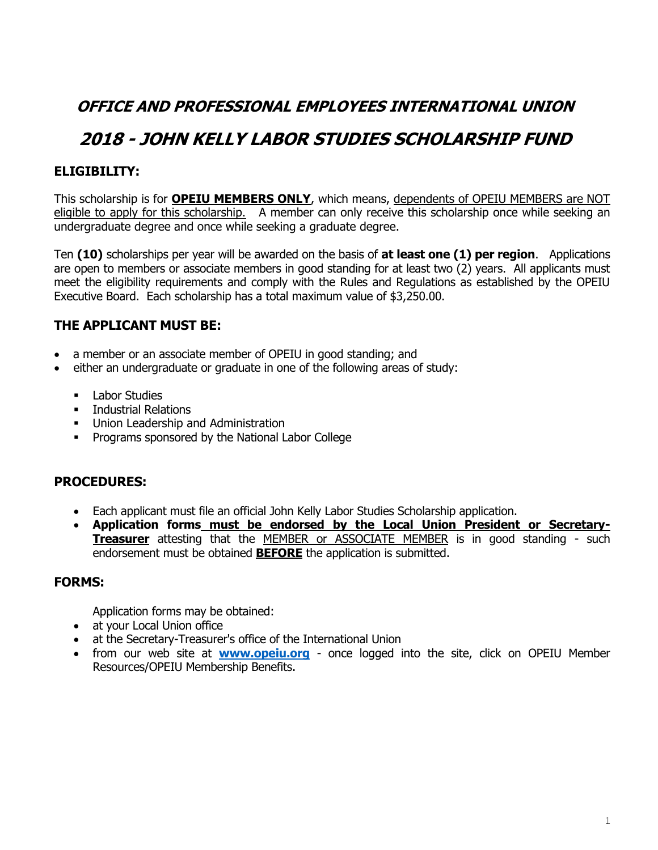# **OFFICE AND PROFESSIONAL EMPLOYEES INTERNATIONAL UNION**

# **2018 - JOHN KELLY LABOR STUDIES SCHOLARSHIP FUND**

## **ELIGIBILITY:**

This scholarship is for **OPEIU MEMBERS ONLY**, which means, dependents of OPEIU MEMBERS are NOT eligible to apply for this scholarship. A member can only receive this scholarship once while seeking an undergraduate degree and once while seeking a graduate degree.

Ten **(10)** scholarships per year will be awarded on the basis of **at least one (1) per region**. Applications are open to members or associate members in good standing for at least two (2) years. All applicants must meet the eligibility requirements and comply with the Rules and Regulations as established by the OPEIU Executive Board. Each scholarship has a total maximum value of \$3,250.00.

## **THE APPLICANT MUST BE:**

- a member or an associate member of OPEIU in good standing; and
- either an undergraduate or graduate in one of the following areas of study:
	- **Labor Studies**
	- **EXECUTE:** Industrial Relations
	- **Union Leadership and Administration**
	- **•** Programs sponsored by the National Labor College

#### **PROCEDURES:**

- Each applicant must file an official John Kelly Labor Studies Scholarship application.
- **Application forms must be endorsed by the Local Union President or Secretary-Treasurer** attesting that the MEMBER or ASSOCIATE MEMBER is in good standing - such endorsement must be obtained **BEFORE** the application is submitted.

#### **FORMS:**

Application forms may be obtained:

- at your Local Union office
- at the Secretary-Treasurer's office of the International Union
- from our web site at **[www.opeiu.org](http://www.opeiu.org/)** once logged into the site, click on OPEIU Member Resources/OPEIU Membership Benefits.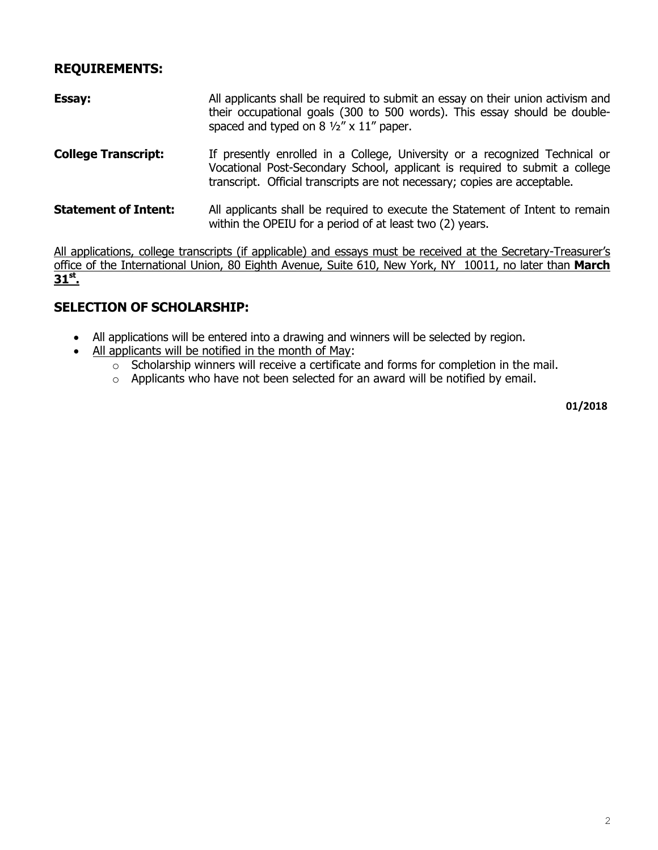#### **REQUIREMENTS:**

| <b>Essay:</b>              | All applicants shall be required to submit an essay on their union activism and<br>their occupational goals (300 to 500 words). This essay should be double-<br>spaced and typed on $8\frac{1}{2}$ " x $11$ " paper.                     |  |  |  |  |
|----------------------------|------------------------------------------------------------------------------------------------------------------------------------------------------------------------------------------------------------------------------------------|--|--|--|--|
| <b>College Transcript:</b> | If presently enrolled in a College, University or a recognized Technical or<br>Vocational Post-Secondary School, applicant is required to submit a college<br>transcript. Official transcripts are not necessary; copies are acceptable. |  |  |  |  |
| Statement of Intent:       | All applicants shall be required to execute the Statement of Intent to remain<br>within the OPEIU for a period of at least two (2) years.                                                                                                |  |  |  |  |

All applications, college transcripts (if applicable) and essays must be received at the Secretary-Treasurer's office of the International Union, 80 Eighth Avenue, Suite 610, New York, NY 10011, no later than **March 31st .** 

## **SELECTION OF SCHOLARSHIP:**

- All applications will be entered into a drawing and winners will be selected by region.
- All applicants will be notified in the month of May:
	- o Scholarship winners will receive a certificate and forms for completion in the mail.
	- o Applicants who have not been selected for an award will be notified by email.

**01/2018**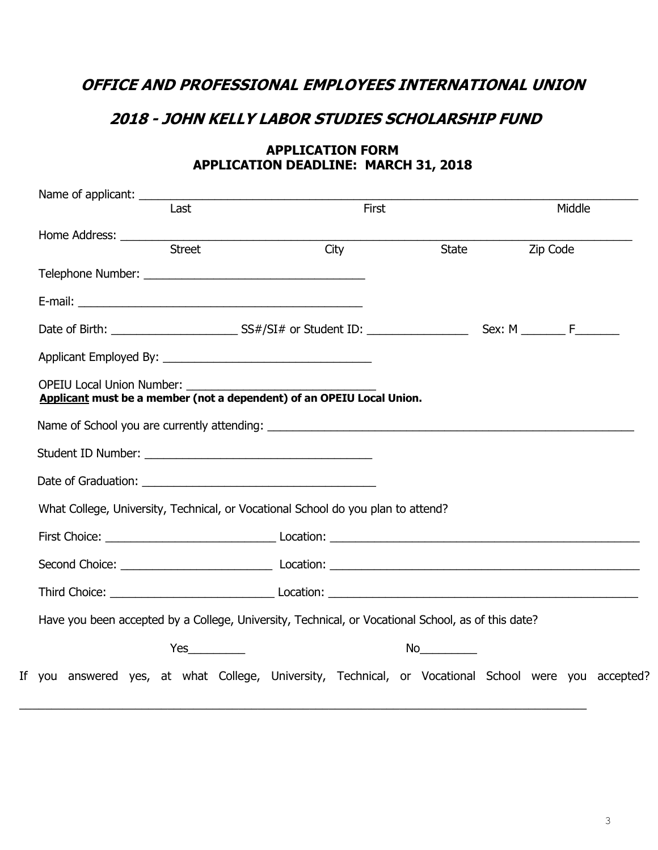## **OFFICE AND PROFESSIONAL EMPLOYEES INTERNATIONAL UNION**

## **2018 - JOHN KELLY LABOR STUDIES SCHOLARSHIP FUND**

| Name of applicant: ____________<br>Last                                                                                                                                                                                             |               | First |                                                                                                                                                                                                                                |          | Middle |  |
|-------------------------------------------------------------------------------------------------------------------------------------------------------------------------------------------------------------------------------------|---------------|-------|--------------------------------------------------------------------------------------------------------------------------------------------------------------------------------------------------------------------------------|----------|--------|--|
| Home Address: ___________                                                                                                                                                                                                           |               |       |                                                                                                                                                                                                                                |          |        |  |
|                                                                                                                                                                                                                                     | <b>Street</b> | City  | State                                                                                                                                                                                                                          | Zip Code |        |  |
|                                                                                                                                                                                                                                     |               |       |                                                                                                                                                                                                                                |          |        |  |
|                                                                                                                                                                                                                                     |               |       |                                                                                                                                                                                                                                |          |        |  |
|                                                                                                                                                                                                                                     |               |       |                                                                                                                                                                                                                                |          |        |  |
|                                                                                                                                                                                                                                     |               |       |                                                                                                                                                                                                                                |          |        |  |
| Applicant must be a member (not a dependent) of an OPEIU Local Union.                                                                                                                                                               |               |       |                                                                                                                                                                                                                                |          |        |  |
|                                                                                                                                                                                                                                     |               |       |                                                                                                                                                                                                                                |          |        |  |
|                                                                                                                                                                                                                                     |               |       |                                                                                                                                                                                                                                |          |        |  |
| Date of Graduation: The Contract of Graduation:                                                                                                                                                                                     |               |       |                                                                                                                                                                                                                                |          |        |  |
| What College, University, Technical, or Vocational School do you plan to attend?                                                                                                                                                    |               |       |                                                                                                                                                                                                                                |          |        |  |
|                                                                                                                                                                                                                                     |               |       |                                                                                                                                                                                                                                |          |        |  |
|                                                                                                                                                                                                                                     |               |       |                                                                                                                                                                                                                                |          |        |  |
| Third Choice: <u>New York: Location:</u> Location: New York: New York: New York: New York: New York: New York: New York: New York: New York: New York: New York: New York: New York: New York: New York: New York: New York: New Yo |               |       |                                                                                                                                                                                                                                |          |        |  |
| Have you been accepted by a College, University, Technical, or Vocational School, as of this date?                                                                                                                                  |               |       |                                                                                                                                                                                                                                |          |        |  |
|                                                                                                                                                                                                                                     |               |       | No and the second second second second second second second second second second second second second second second second second second second second second second second second second second second second second second s |          |        |  |
| If you answered yes, at what College, University, Technical, or Vocational School were you accepted?                                                                                                                                |               |       |                                                                                                                                                                                                                                |          |        |  |

#### **APPLICATION FORM APPLICATION DEADLINE: MARCH 31, 2018**